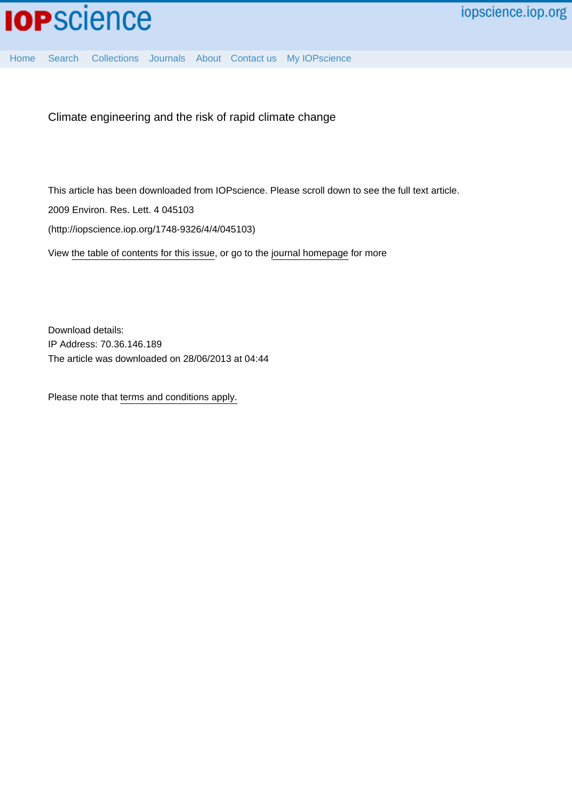[Home](http://iopscience.iop.org/) [Search](http://iopscience.iop.org/search) [Collections](http://iopscience.iop.org/collections) [Journals](http://iopscience.iop.org/journals) [About](http://iopscience.iop.org/page/aboutioppublishing) [Contact us](http://iopscience.iop.org/contact) [My IOPscience](http://iopscience.iop.org/myiopscience)

Climate engineering and the risk of rapid climate change

This article has been downloaded from IOPscience. Please scroll down to see the full text article.

2009 Environ. Res. Lett. 4 045103

(http://iopscience.iop.org/1748-9326/4/4/045103)

View [the table of contents for this issue](http://iopscience.iop.org/1748-9326/4/4), or go to the [journal homepage](http://iopscience.iop.org/1748-9326) for more

Download details: IP Address: 70.36.146.189 The article was downloaded on 28/06/2013 at 04:44

Please note that [terms and conditions apply.](http://iopscience.iop.org/page/terms)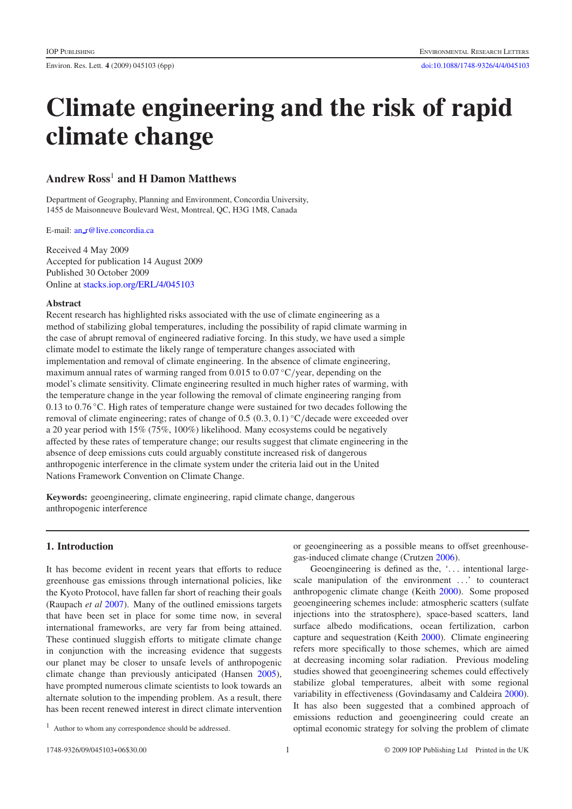# **Climate engineering and the risk of rapid climate change**

## **Andrew Ross**<sup>1</sup> **and H Damon Matthews**

Department of Geography, Planning and Environment, Concordia University, 1455 de Maisonneuve Boulevard West, Montreal, QC, H3G 1M8, Canada

E-mail: an [r@live.concordia.ca](mailto:an_r@live.concordia.ca)

Received 4 May 2009 Accepted for publication 14 August 2009 Published 30 October 2009 Online at [stacks.iop.org/ERL/4/045103](http://stacks.iop.org/ERL/4/045103)

#### **Abstract**

Recent research has highlighted risks associated with the use of climate engineering as a method of stabilizing global temperatures, including the possibility of rapid climate warming in the case of abrupt removal of engineered radiative forcing. In this study, we have used a simple climate model to estimate the likely range of temperature changes associated with implementation and removal of climate engineering. In the absence of climate engineering, maximum annual rates of warming ranged from 0.015 to 0*.*07 ◦C*/*year, depending on the model's climate sensitivity. Climate engineering resulted in much higher rates of warming, with the temperature change in the year following the removal of climate engineering ranging from 0.13 to 0*.*76 ◦C. High rates of temperature change were sustained for two decades following the removal of climate engineering; rates of change of 0.5 *(*0*.*3*,* 0*.*1*)* ◦C*/*decade were exceeded over a 20 year period with 15% (75%, 100%) likelihood. Many ecosystems could be negatively affected by these rates of temperature change; our results suggest that climate engineering in the absence of deep emissions cuts could arguably constitute increased risk of dangerous anthropogenic interference in the climate system under the criteria laid out in the United Nations Framework Convention on Climate Change.

**Keywords:** geoengineering, climate engineering, rapid climate change, dangerous anthropogenic interference

### **1. Introduction**

It has become evident in recent years that efforts to reduce greenhouse gas emissions through international policies, like the Kyoto Protocol, have fallen far short of reaching their goals (Raupach *et al* [2007\)](#page-6-0). Many of the outlined emissions targets that have been set in place for some time now, in several international frameworks, are very far from being attained. These continued sluggish efforts to mitigate climate change in conjunction with the increasing evidence that suggests our planet may be closer to unsafe levels of anthropogenic climate change than previously anticipated (Hansen [2005\)](#page-6-1), have prompted numerous climate scientists to look towards an alternate solution to the impending problem. As a result, there has been recent renewed interest in direct climate intervention or geoengineering as a possible means to offset greenhousegas-induced climate change (Crutzen [2006\)](#page-6-2).

Geoengineering is defined as the, '*...* intentional largescale manipulation of the environment *...*' to counteract anthropogenic climate change (Keith [2000\)](#page-6-3). Some proposed geoengineering schemes include: atmospheric scatters (sulfate injections into the stratosphere), space-based scatters, land surface albedo modifications, ocean fertilization, carbon capture and sequestration (Keith [2000\)](#page-6-3). Climate engineering refers more specifically to those schemes, which are aimed at decreasing incoming solar radiation. Previous modeling studies showed that geoengineering schemes could effectively stabilize global temperatures, albeit with some regional variability in effectiveness (Govindasamy and Caldeira [2000\)](#page-6-4). It has also been suggested that a combined approach of emissions reduction and geoengineering could create an optimal economic strategy for solving the problem of climate

<sup>&</sup>lt;sup>1</sup> Author to whom any correspondence should be addressed.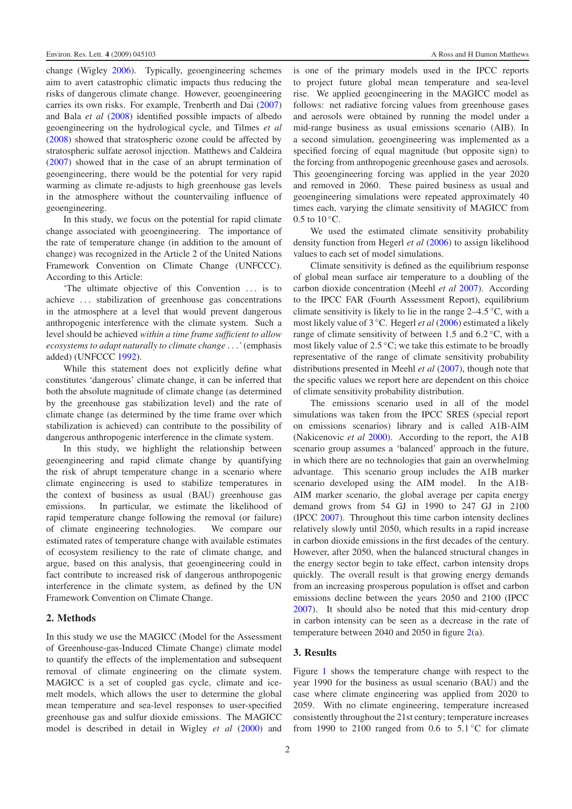change (Wigley [2006\)](#page-6-5). Typically, geoengineering schemes aim to avert catastrophic climatic impacts thus reducing the risks of dangerous climate change. However, geoengineering carries its own risks. For example, Trenberth and Dai [\(2007\)](#page-6-6) and Bala *et al* [\(2008\)](#page-6-7) identified possible impacts of albedo geoengineering on the hydrological cycle, and Tilmes *et al* [\(2008\)](#page-6-8) showed that stratospheric ozone could be affected by stratospheric sulfate aerosol injection. Matthews and Caldeira [\(2007\)](#page-6-9) showed that in the case of an abrupt termination of geoengineering, there would be the potential for very rapid warming as climate re-adjusts to high greenhouse gas levels in the atmosphere without the countervailing influence of geoengineering.

In this study, we focus on the potential for rapid climate change associated with geoengineering. The importance of the rate of temperature change (in addition to the amount of change) was recognized in the Article 2 of the United Nations Framework Convention on Climate Change (UNFCCC). According to this Article:

'The ultimate objective of this Convention *...* is to achieve *...* stabilization of greenhouse gas concentrations in the atmosphere at a level that would prevent dangerous anthropogenic interference with the climate system. Such a level should be achieved *within a time frame sufficient to allow ecosystems to adapt naturally to climate change ...'* (emphasis added) (UNFCCC [1992\)](#page-6-10).

While this statement does not explicitly define what constitutes 'dangerous' climate change, it can be inferred that both the absolute magnitude of climate change (as determined by the greenhouse gas stabilization level) and the rate of climate change (as determined by the time frame over which stabilization is achieved) can contribute to the possibility of dangerous anthropogenic interference in the climate system.

In this study, we highlight the relationship between geoengineering and rapid climate change by quantifying the risk of abrupt temperature change in a scenario where climate engineering is used to stabilize temperatures in the context of business as usual (BAU) greenhouse gas emissions. In particular, we estimate the likelihood of rapid temperature change following the removal (or failure) of climate engineering technologies. We compare our estimated rates of temperature change with available estimates of ecosystem resiliency to the rate of climate change, and argue, based on this analysis, that geoengineering could in fact contribute to increased risk of dangerous anthropogenic interference in the climate system, as defined by the UN Framework Convention on Climate Change.

#### **2. Methods**

In this study we use the MAGICC (Model for the Assessment of Greenhouse-gas-Induced Climate Change) climate model to quantify the effects of the implementation and subsequent removal of climate engineering on the climate system. MAGICC is a set of coupled gas cycle, climate and icemelt models, which allows the user to determine the global mean temperature and sea-level responses to user-specified greenhouse gas and sulfur dioxide emissions. The MAGICC model is described in detail in Wigley *et al* [\(2000\)](#page-6-11) and

is one of the primary models used in the IPCC reports to project future global mean temperature and sea-level rise. We applied geoengineering in the MAGICC model as follows: net radiative forcing values from greenhouse gases and aerosols were obtained by running the model under a mid-range business as usual emissions scenario (AIB). In a second simulation, geoengineering was implemented as a specified forcing of equal magnitude (but opposite sign) to the forcing from anthropogenic greenhouse gases and aerosols. This geoengineering forcing was applied in the year 2020 and removed in 2060. These paired business as usual and geoengineering simulations were repeated approximately 40 times each, varying the climate sensitivity of MAGICC from 0.5 to  $10^{\circ}$ C.

We used the estimated climate sensitivity probability density function from Hegerl *et al* [\(2006\)](#page-6-12) to assign likelihood values to each set of model simulations.

Climate sensitivity is defined as the equilibrium response of global mean surface air temperature to a doubling of the carbon dioxide concentration (Meehl *et al* [2007\)](#page-6-13). According to the IPCC FAR (Fourth Assessment Report), equilibrium climate sensitivity is likely to lie in the range 2–4*.*5 ◦C, with a most likely value of 3 ◦C. Hegerl *et al* [\(2006\)](#page-6-12) estimated a likely range of climate sensitivity of between 1.5 and 6*.*2 ◦C, with a most likely value of 2*.*5 ◦C; we take this estimate to be broadly representative of the range of climate sensitivity probability distributions presented in Meehl *et al* [\(2007\)](#page-6-13), though note that the specific values we report here are dependent on this choice of climate sensitivity probability distribution.

The emissions scenario used in all of the model simulations was taken from the IPCC SRES (special report on emissions scenarios) library and is called A1B-AIM (Nakicenovic *et al* [2000\)](#page-6-14). According to the report, the A1B scenario group assumes a 'balanced' approach in the future, in which there are no technologies that gain an overwhelming advantage. This scenario group includes the A1B marker scenario developed using the AIM model. In the A1B-AIM marker scenario, the global average per capita energy demand grows from 54 GJ in 1990 to 247 GJ in 2100 (IPCC [2007\)](#page-6-15). Throughout this time carbon intensity declines relatively slowly until 2050, which results in a rapid increase in carbon dioxide emissions in the first decades of the century. However, after 2050, when the balanced structural changes in the energy sector begin to take effect, carbon intensity drops quickly. The overall result is that growing energy demands from an increasing prosperous population is offset and carbon emissions decline between the years 2050 and 2100 (IPCC [2007\)](#page-6-15). It should also be noted that this mid-century drop in carbon intensity can be seen as a decrease in the rate of temperature between 2040 and 2050 in figure  $2(a)$  $2(a)$ .

#### **3. Results**

Figure [1](#page-3-1) shows the temperature change with respect to the year 1990 for the business as usual scenario (BAU) and the case where climate engineering was applied from 2020 to 2059. With no climate engineering, temperature increased consistently throughout the 21st century; temperature increases from 1990 to 2100 ranged from 0.6 to  $5.1\degree$ C for climate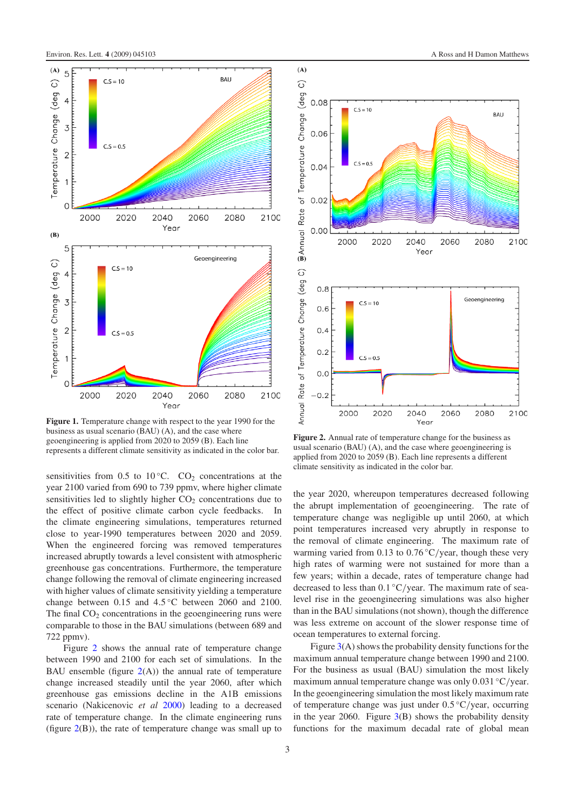<span id="page-3-1"></span>

**Figure 1.** Temperature change with respect to the year 1990 for the business as usual scenario (BAU) (A), and the case where geoengineering is applied from 2020 to 2059 (B). Each line represents a different climate sensitivity as indicated in the color bar.

sensitivities from 0.5 to 10 $^{\circ}$ C. CO<sub>2</sub> concentrations at the year 2100 varied from 690 to 739 ppmv, where higher climate sensitivities led to slightly higher  $CO<sub>2</sub>$  concentrations due to the effect of positive climate carbon cycle feedbacks. In the climate engineering simulations, temperatures returned close to year-1990 temperatures between 2020 and 2059. When the engineered forcing was removed temperatures increased abruptly towards a level consistent with atmospheric greenhouse gas concentrations. Furthermore, the temperature change following the removal of climate engineering increased with higher values of climate sensitivity yielding a temperature change between 0.15 and 4.5 °C between 2060 and 2100. The final  $CO<sub>2</sub>$  concentrations in the geoengineering runs were comparable to those in the BAU simulations (between 689 and 722 ppmv).

Figure [2](#page-3-0) shows the annual rate of temperature change between 1990 and 2100 for each set of simulations. In the BAU ensemble (figure  $2(A)$  $2(A)$ ) the annual rate of temperature change increased steadily until the year 2060, after which greenhouse gas emissions decline in the A1B emissions scenario (Nakicenovic *et al* [2000\)](#page-6-14) leading to a decreased rate of temperature change. In the climate engineering runs (figure  $2(B)$  $2(B)$ ), the rate of temperature change was small up to



**Figure 2.** Annual rate of temperature change for the business as usual scenario (BAU) (A), and the case where geoengineering is applied from 2020 to 2059 (B). Each line represents a different climate sensitivity as indicated in the color bar.

the year 2020, whereupon temperatures decreased following the abrupt implementation of geoengineering. The rate of temperature change was negligible up until 2060, at which point temperatures increased very abruptly in response to the removal of climate engineering. The maximum rate of warming varied from 0.13 to 0*.*76 ◦C*/*year, though these very high rates of warming were not sustained for more than a few years; within a decade, rates of temperature change had decreased to less than 0*.*1 ◦C*/*year. The maximum rate of sealevel rise in the geoengineering simulations was also higher than in the BAU simulations (not shown), though the difference was less extreme on account of the slower response time of ocean temperatures to external forcing.

Figure  $3(A)$  $3(A)$  shows the probability density functions for the maximum annual temperature change between 1990 and 2100. For the business as usual (BAU) simulation the most likely maximum annual temperature change was only 0*.*031 ◦C*/*year. In the geoengineering simulation the most likely maximum rate of temperature change was just under 0*.*5 ◦C*/*year, occurring in the year 2060. Figure  $3(B)$  $3(B)$  shows the probability density functions for the maximum decadal rate of global mean

<span id="page-3-0"></span> $(A)$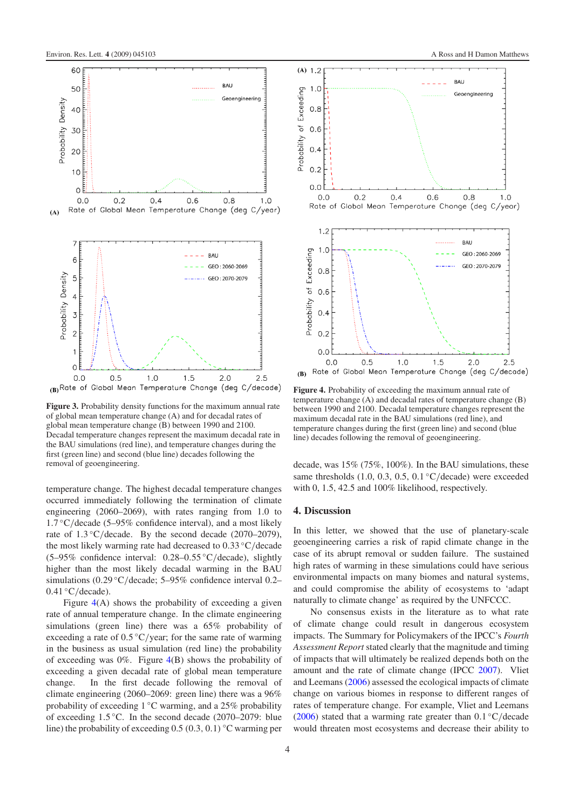<span id="page-4-0"></span>

(B) Rate of Global Mean Temperature Change (deg C/decade)

**Figure 3.** Probability density functions for the maximum annual rate of global mean temperature change (A) and for decadal rates of global mean temperature change (B) between 1990 and 2100. Decadal temperature changes represent the maximum decadal rate in the BAU simulations (red line), and temperature changes during the first (green line) and second (blue line) decades following the removal of geoengineering.

temperature change. The highest decadal temperature changes occurred immediately following the termination of climate engineering (2060–2069), with rates ranging from 1.0 to 1*.*7 ◦C*/*decade (5–95% confidence interval), and a most likely rate of 1.3 °C/decade. By the second decade (2070–2079), the most likely warming rate had decreased to 0*.*33 ◦C*/*decade (5–95% confidence interval: 0.28–0*.*55 ◦C*/*decade), slightly higher than the most likely decadal warming in the BAU simulations (0.29 °C/decade; 5–95% confidence interval 0.2– 0*.*41 ◦C*/*decade).

Figure  $4(A)$  $4(A)$  shows the probability of exceeding a given rate of annual temperature change. In the climate engineering simulations (green line) there was a 65% probability of exceeding a rate of 0.5 °C/year; for the same rate of warming in the business as usual simulation (red line) the probability of exceeding was  $0\%$ . Figure  $4(B)$  $4(B)$  shows the probability of exceeding a given decadal rate of global mean temperature change. In the first decade following the removal of climate engineering (2060–2069: green line) there was a 96% probability of exceeding 1 ◦C warming, and a 25% probability of exceeding 1*.*5 ◦C. In the second decade (2070–2079: blue line) the probability of exceeding 0.5 *(*0*.*3*,* 0*.*1*)* ◦C warming per

<span id="page-4-1"></span>

**Figure 4.** Probability of exceeding the maximum annual rate of temperature change (A) and decadal rates of temperature change (B) between 1990 and 2100. Decadal temperature changes represent the maximum decadal rate in the BAU simulations (red line), and temperature changes during the first (green line) and second (blue line) decades following the removal of geoengineering.

decade, was 15% (75%, 100%). In the BAU simulations, these same thresholds (1.0, 0.3, 0.5, 0.1 °C/decade) were exceeded with 0, 1.5, 42.5 and 100% likelihood, respectively.

#### **4. Discussion**

In this letter, we showed that the use of planetary-scale geoengineering carries a risk of rapid climate change in the case of its abrupt removal or sudden failure. The sustained high rates of warming in these simulations could have serious environmental impacts on many biomes and natural systems, and could compromise the ability of ecosystems to 'adapt naturally to climate change' as required by the UNFCCC.

No consensus exists in the literature as to what rate of climate change could result in dangerous ecosystem impacts. The Summary for Policymakers of the IPCC's *Fourth Assessment Report* stated clearly that the magnitude and timing of impacts that will ultimately be realized depends both on the amount and the rate of climate change (IPCC [2007\)](#page-6-15). Vliet and Leemans [\(2006\)](#page-6-16) assessed the ecological impacts of climate change on various biomes in response to different ranges of rates of temperature change. For example, Vliet and Leemans [\(2006\)](#page-6-16) stated that a warming rate greater than 0*.*1 ◦C*/*decade would threaten most ecosystems and decrease their ability to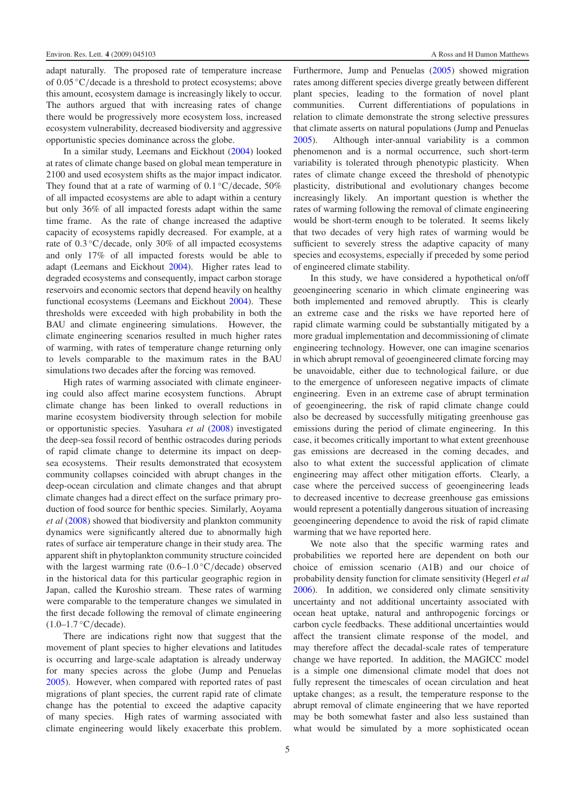adapt naturally. The proposed rate of temperature increase of 0*.*05 ◦C*/*decade is a threshold to protect ecosystems; above this amount, ecosystem damage is increasingly likely to occur. The authors argued that with increasing rates of change there would be progressively more ecosystem loss, increased ecosystem vulnerability, decreased biodiversity and aggressive opportunistic species dominance across the globe.

In a similar study, Leemans and Eickhout [\(2004\)](#page-6-17) looked at rates of climate change based on global mean temperature in 2100 and used ecosystem shifts as the major impact indicator. They found that at a rate of warming of 0*.*1 ◦C*/*decade, 50% of all impacted ecosystems are able to adapt within a century but only 36% of all impacted forests adapt within the same time frame. As the rate of change increased the adaptive capacity of ecosystems rapidly decreased. For example, at a rate of 0.3 °C/decade, only 30% of all impacted ecosystems and only 17% of all impacted forests would be able to adapt (Leemans and Eickhout [2004\)](#page-6-17). Higher rates lead to degraded ecosystems and consequently, impact carbon storage reservoirs and economic sectors that depend heavily on healthy functional ecosystems (Leemans and Eickhout [2004\)](#page-6-17). These thresholds were exceeded with high probability in both the BAU and climate engineering simulations. However, the climate engineering scenarios resulted in much higher rates of warming, with rates of temperature change returning only to levels comparable to the maximum rates in the BAU simulations two decades after the forcing was removed.

High rates of warming associated with climate engineering could also affect marine ecosystem functions. Abrupt climate change has been linked to overall reductions in marine ecosystem biodiversity through selection for mobile or opportunistic species. Yasuhara *et al* [\(2008\)](#page-6-18) investigated the deep-sea fossil record of benthic ostracodes during periods of rapid climate change to determine its impact on deepsea ecosystems. Their results demonstrated that ecosystem community collapses coincided with abrupt changes in the deep-ocean circulation and climate changes and that abrupt climate changes had a direct effect on the surface primary production of food source for benthic species. Similarly, Aoyama *et al* [\(2008\)](#page-6-19) showed that biodiversity and plankton community dynamics were significantly altered due to abnormally high rates of surface air temperature change in their study area. The apparent shift in phytoplankton community structure coincided with the largest warming rate (0.6–1*.*0 ◦C*/*decade) observed in the historical data for this particular geographic region in Japan, called the Kuroshio stream. These rates of warming were comparable to the temperature changes we simulated in the first decade following the removal of climate engineering (1.0–1*.*7 ◦C*/*decade).

There are indications right now that suggest that the movement of plant species to higher elevations and latitudes is occurring and large-scale adaptation is already underway for many species across the globe (Jump and Penuelas [2005\)](#page-6-20). However, when compared with reported rates of past migrations of plant species, the current rapid rate of climate change has the potential to exceed the adaptive capacity of many species. High rates of warming associated with climate engineering would likely exacerbate this problem.

Furthermore, Jump and Penuelas [\(2005\)](#page-6-20) showed migration rates among different species diverge greatly between different plant species, leading to the formation of novel plant communities. Current differentiations of populations in relation to climate demonstrate the strong selective pressures that climate asserts on natural populations (Jump and Penuelas [2005\)](#page-6-20). Although inter-annual variability is a common phenomenon and is a normal occurrence, such short-term variability is tolerated through phenotypic plasticity. When rates of climate change exceed the threshold of phenotypic plasticity, distributional and evolutionary changes become increasingly likely. An important question is whether the rates of warming following the removal of climate engineering would be short-term enough to be tolerated. It seems likely that two decades of very high rates of warming would be sufficient to severely stress the adaptive capacity of many species and ecosystems, especially if preceded by some period of engineered climate stability.

In this study, we have considered a hypothetical on/off geoengineering scenario in which climate engineering was both implemented and removed abruptly. This is clearly an extreme case and the risks we have reported here of rapid climate warming could be substantially mitigated by a more gradual implementation and decommissioning of climate engineering technology. However, one can imagine scenarios in which abrupt removal of geoengineered climate forcing may be unavoidable, either due to technological failure, or due to the emergence of unforeseen negative impacts of climate engineering. Even in an extreme case of abrupt termination of geoengineering, the risk of rapid climate change could also be decreased by successfully mitigating greenhouse gas emissions during the period of climate engineering. In this case, it becomes critically important to what extent greenhouse gas emissions are decreased in the coming decades, and also to what extent the successful application of climate engineering may affect other mitigation efforts. Clearly, a case where the perceived success of geoengineering leads to decreased incentive to decrease greenhouse gas emissions would represent a potentially dangerous situation of increasing geoengineering dependence to avoid the risk of rapid climate warming that we have reported here.

We note also that the specific warming rates and probabilities we reported here are dependent on both our choice of emission scenario (A1B) and our choice of probability density function for climate sensitivity (Hegerl *et al* [2006\)](#page-6-12). In addition, we considered only climate sensitivity uncertainty and not additional uncertainty associated with ocean heat uptake, natural and anthropogenic forcings or carbon cycle feedbacks. These additional uncertainties would affect the transient climate response of the model, and may therefore affect the decadal-scale rates of temperature change we have reported. In addition, the MAGICC model is a simple one dimensional climate model that does not fully represent the timescales of ocean circulation and heat uptake changes; as a result, the temperature response to the abrupt removal of climate engineering that we have reported may be both somewhat faster and also less sustained than what would be simulated by a more sophisticated ocean